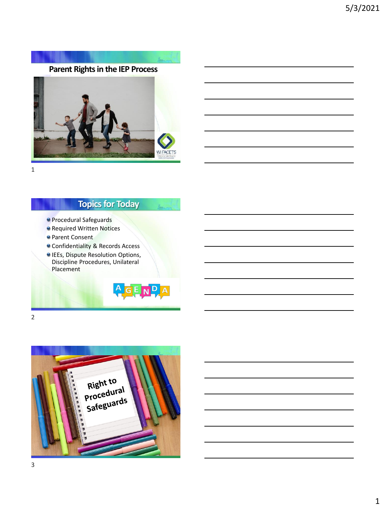



## **Topics for Today**

- Procedural Safeguards
- **Required Written Notices**
- **Parent Consent**
- Confidentiality & Records Access
- IEEs, Dispute Resolution Options, Discipline Procedures, Unilateral Placement



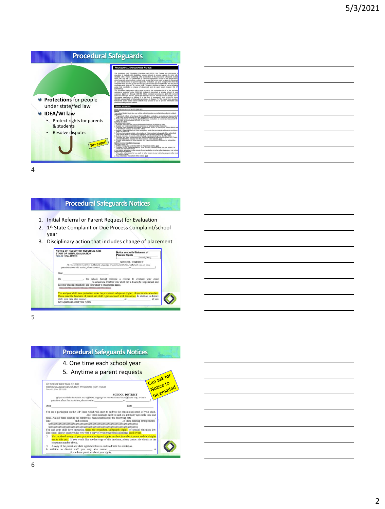

#### **Procedural Safeguards Notices**

- 1. Initial Referral or Parent Request for Evaluation
- 2. 1st State Complaint or Due Process Complaint/school year
- 3. Disciplinary action that includes change of placement



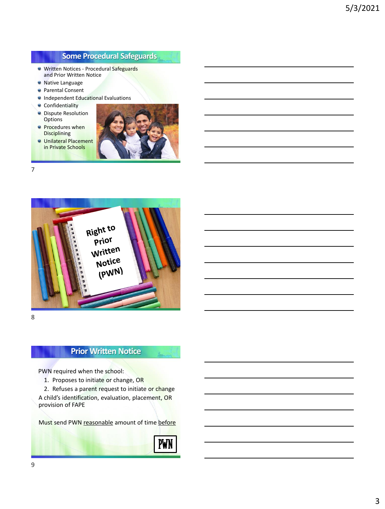## **Some Procedural Safeguards**

- **Written Notices Procedural Safeguards** and Prior Written Notice
- **•** Native Language
- **Parental Consent**
- **Independent Educational Evaluations**
- **Confidentiality**
- **O** Dispute Resolution **Options**
- **Procedures when** Disciplining





7



8

## **Prior Written Notice**

PWN required when the school:

1. Proposes to initiate or change, OR

2. Refuses a parent request to initiate or change A child's identification, evaluation, placement, OR provision of FAPE

Must send PWN reasonable amount of time before

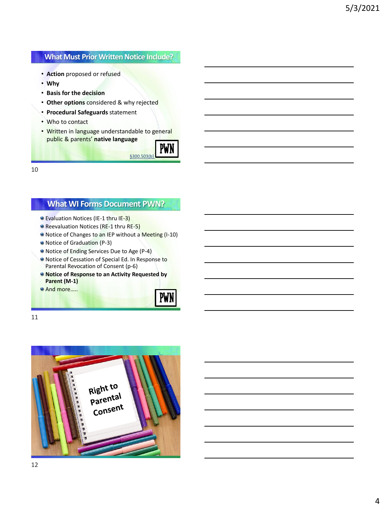#### **What Must Prior Written Notice Include?**

- **Action** proposed or refused
- **Why**
- **Basis for the decision**
- **Other options** considered & why rejected
- **Procedural Safeguards** statement
- Who to contact
- Written in language understandable to general public & parents' **native language**



10

## **What WI Forms Document PWN?**

- Evaluation Notices (IE-1 thru IE-3)
- Reevaluation Notices (RE-1 thru RE-5)
- Notice of Changes to an IEP without a Meeting (I-10)
- Notice of Graduation (P-3)
- Notice of Ending Services Due to Age (P-4)
- Notice of Cessation of Special Ed. In Response to Parental Revocation of Consent (p-6)
- $\bullet$  **Notice of Response to an Activity Requested by Parent (M-1)**
- And more……



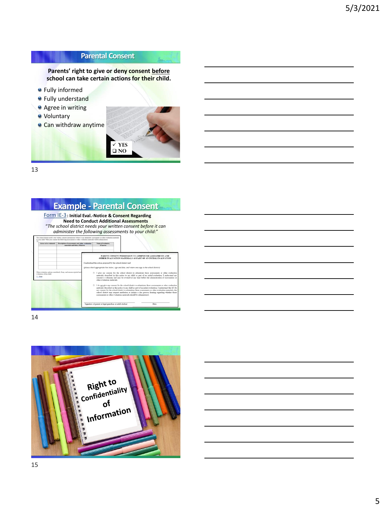## **Parental Consent**

**Parents' right to give or deny consent before school can take certain actions for their child.**

- Fully informed
- **•** Fully understand
- **Agree in writing**
- Voluntary
- Can withdraw anytime



 $\mathbf{z}$ 

13

## **Example - Parental Consent**

**[Form IE-3](https://dpi.wi.gov/sped/laws-procedures-bulletins/procedures/sample/forms): Initial Eval.-Notice & Consent Regarding Need to Conduct Additional Assessments**  "*The school district needs your written consent before it can administer the following assessments to your child:*"

| Areas to be evaluated                | Description of associatents and other evaluation<br>materials and titles, if known | Name of evaluator.<br><b>If known</b>                       |                                                                                                                                                                                                                                                                                                                                                                                                                                                                                                        |
|--------------------------------------|------------------------------------------------------------------------------------|-------------------------------------------------------------|--------------------------------------------------------------------------------------------------------------------------------------------------------------------------------------------------------------------------------------------------------------------------------------------------------------------------------------------------------------------------------------------------------------------------------------------------------------------------------------------------------|
|                                      |                                                                                    |                                                             | PARENT CONSENT/PERMISSION TO ADMINISTER ASSESSMENTS AND<br>OTHER EVALUATION MATERIALS AS PART OF AN INITIAL EVALUATION                                                                                                                                                                                                                                                                                                                                                                                 |
|                                      |                                                                                    | I understand the action proposed by the school district and |                                                                                                                                                                                                                                                                                                                                                                                                                                                                                                        |
|                                      |                                                                                    |                                                             | (please check appropriate box below, sign and date, and return one capy to the school district)                                                                                                                                                                                                                                                                                                                                                                                                        |
| evolveries of this child:<br>CL News | Other evaluation options considered, if any, and resoons rejected and              | other evaluation materials.                                 | □ I give my consent for the school district to administer these assessments or other evaluation<br>materials described in this notice to my child as part of an initial evaluation. I understand my<br>consent is voluntary and may be revoked at any time before the administration of assessments or                                                                                                                                                                                                 |
|                                      |                                                                                    |                                                             | □ I do not give my consent for the school district to administer these assessments or other evaluation<br>materials described in this notice to my child as part of an initial evaluation. I understand that if I do<br>not consent for the school district to administer these assessments or other evaluation materials, the<br>school district may request mediation or initiate a due process hearing regarding whether those<br>assessments or other evaluation materials should be administered. |
|                                      |                                                                                    |                                                             |                                                                                                                                                                                                                                                                                                                                                                                                                                                                                                        |

14

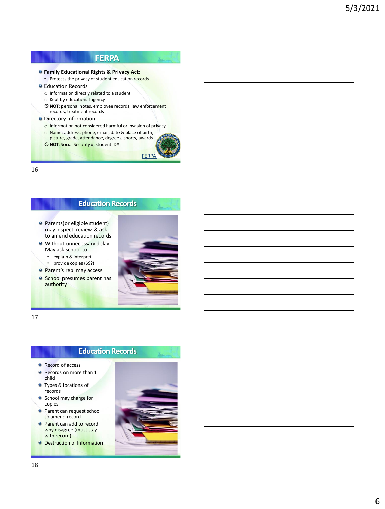## **FERPA**

#### **Family Educational Rights & Privacy Act:**

- Protects the privacy of student education records
- **C** Education Records
	- o Information directly related to a student
	- o Kept by educational agency
	- **NOT**: personal notes, employee records, law enforcement records, treatment records
- **•** Directory Information
	- o Information not considered harmful or invasion of privacy
	- o Name, address, phone, email, date & place of birth,
	- picture, grade, attendance, degrees, sports, awards **NOT:** Social Security #, student ID#



المستع

16

### **Education Records**

- **Parents(or eligible student)** may inspect, review, & ask to amend education records
- **Without unnecessary delay** May ask school to:
	- explain & interpret
	- provide copies (\$\$?)
- **Parent's rep. may access**
- **School presumes parent has** authority



17

#### **Education Records**

- Record of access
- Records on more than 1 child
- **Types & locations of** records
- **School may charge for** copies
- **Parent can request school** to amend record
- **Parent can add to record** why disagree (must stay with record)
- **O** Destruction of Information

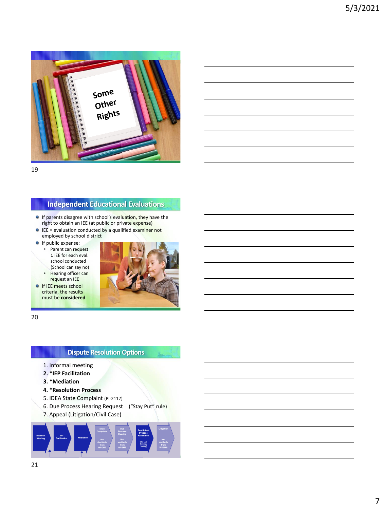

#### **Independent Educational Evaluations**

- If parents disagree with school's evaluation, they have the right to obtain an IEE (at public or private expense)
- $\bullet$  IEE = evaluation conducted by a qualified examiner not employed by school district
- **If public expense:**

• Parent can request **1** IEE for each eval. school conducted (School can say no) • Hearing officer can

request an IEE **If IEE meets school** criteria, the results must be **considered**



20

#### **Dispute Resolution Options**

- 1. Informal meeting
- **2. \*IEP Facilitation**
- **3. \*Mediation**
- **4. \*Resolution Process**
- 5. IDEA State Complaint (PI-2117)
- 6. Due Process Hearing Request ("Stay Put" rule)
- 7. Appeal (Litigation/Civil Case)

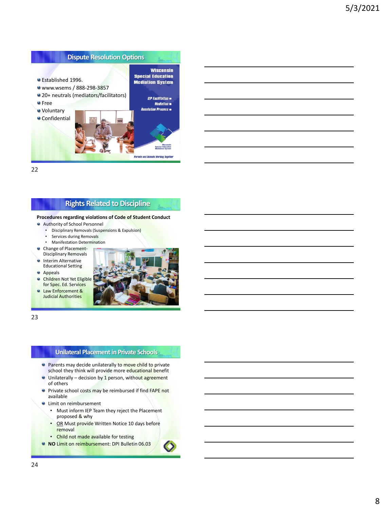

#### **Rights Related to Discipline**

#### **Procedures regarding violations of Code of Student Conduct**

- Authority of School Personnel
	- Disciplinary Removals (Suspensions & Expulsion)
	- Services during Removals
	- Manifestation Determination
- **Change of Placement-**Disciplinary Removals
- **Interim Alternative** Educational Setting
- **Appeals**
- **Children Not Yet Eligible** for Spec. Ed. Services
- **Q** Law Enforcement & Judicial Authorities



23

#### **Unilateral Placement in Private Schools**

- **Parents may decide unilaterally to move child to private** school they think will provide more educational benefit
- **Unilaterally decision by 1 person, without agreement** of others
- **P** Private school costs may be reimbursed if find FAPE not available
- **Q** Limit on reimbursement
	- Must inform IEP Team they reject the Placement proposed & why
	- OR Must provide Written Notice 10 days before removal
	- Child not made available for testing
- **NO** Limit on reimbursement: DPI Bulletin 06.03